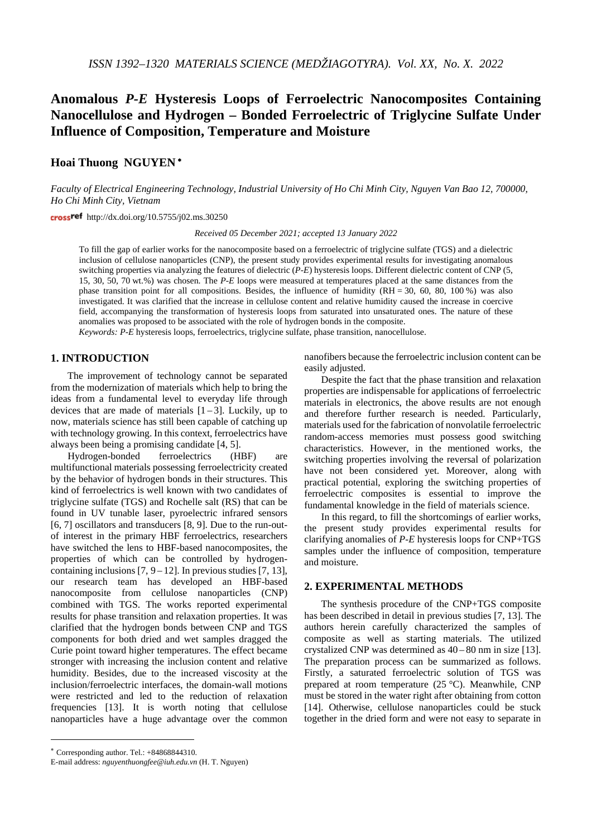# **Anomalous** *P-E* **Hysteresis Loops of Ferroelectric Nanocomposites Containing Nanocellulose and Hydrogen – Bonded Ferroelectric of Triglycine Sulfate Under Influence of Composition, Temperature and Moisture**

## **Hoai Thuong NGUYEN** <sup>∗</sup>

*Faculty of Electrical Engineering Technology, Industrial University of Ho Chi Minh City, Nguyen Van Bao 12, 700000, Ho Chi Minh City, Vietnam*

crossref http://dx.doi.org/10.5755/j02.ms.30250

*Received 05 December 2021; accepted 13 January 2022*

To fill the gap of earlier works for the nanocomposite based on a ferroelectric of triglycine sulfate (TGS) and a dielectric inclusion of cellulose nanoparticles (CNP), the present study provides experimental results for investigating anomalous switching properties via analyzing the features of dielectric (*P-E*) hysteresis loops. Different dielectric content of CNP (5, 15, 30, 50, 70 wt.%) was chosen. The *P-E* loops were measured at temperatures placed at the same distances from the phase transition point for all compositions. Besides, the influence of humidity (RH = 30, 60, 80, 100 %) was also investigated. It was clarified that the increase in cellulose content and relative humidity caused the increase in coercive field, accompanying the transformation of hysteresis loops from saturated into unsaturated ones. The nature of these anomalies was proposed to be associated with the role of hydrogen bonds in the composite. *Keywords: P-E* hysteresis loops, ferroelectrics, triglycine sulfate, phase transition, nanocellulose.

## **1. INTRODUCTION**[∗](#page-0-0)

The improvement of technology cannot be separated from the modernization of materials which help to bring the ideas from a fundamental level to everyday life through devices that are made of materials  $[1-3]$ . Luckily, up to now, materials science has still been capable of catching up with technology growing. In this context, ferroelectrics have always been being a promising candidate [4, 5].

Hydrogen-bonded ferroelectrics (HBF) are multifunctional materials possessing ferroelectricity created by the behavior of hydrogen bonds in their structures. This kind of ferroelectrics is well known with two candidates of triglycine sulfate (TGS) and Rochelle salt (RS) that can be found in UV tunable laser, pyroelectric infrared sensors [6, 7] oscillators and transducers [8, 9]. Due to the run-outof interest in the primary HBF ferroelectrics, researchers have switched the lens to HBF-based nanocomposites, the properties of which can be controlled by hydrogencontaining inclusions  $[7, 9-12]$ . In previous studies  $[7, 13]$ , our research team has developed an HBF-based nanocomposite from cellulose nanoparticles (CNP) combined with TGS. The works reported experimental results for phase transition and relaxation properties. It was clarified that the hydrogen bonds between CNP and TGS components for both dried and wet samples dragged the Curie point toward higher temperatures. The effect became stronger with increasing the inclusion content and relative humidity. Besides, due to the increased viscosity at the inclusion/ferroelectric interfaces, the domain-wall motions were restricted and led to the reduction of relaxation frequencies [13]. It is worth noting that cellulose nanoparticles have a huge advantage over the common

 $\overline{a}$ 

nanofibers because the ferroelectric inclusion content can be easily adjusted.

Despite the fact that the phase transition and relaxation properties are indispensable for applications of ferroelectric materials in electronics, the above results are not enough and therefore further research is needed. Particularly, materials used for the fabrication of nonvolatile ferroelectric random-access memories must possess good switching characteristics. However, in the mentioned works, the switching properties involving the reversal of polarization have not been considered yet. Moreover, along with practical potential, exploring the switching properties of ferroelectric composites is essential to improve the fundamental knowledge in the field of materials science.

In this regard, to fill the shortcomings of earlier works, the present study provides experimental results for clarifying anomalies of *P-E* hysteresis loops for CNP+TGS samples under the influence of composition, temperature and moisture.

#### **2. EXPERIMENTAL METHODS**

The synthesis procedure of the CNP+TGS composite has been described in detail in previous studies [7, 13]. The authors herein carefully characterized the samples of composite as well as starting materials. The utilized crystalized CNP was determined as 40 – 80 nm in size [13]. The preparation process can be summarized as follows. Firstly, a saturated ferroelectric solution of TGS was prepared at room temperature (25 °C). Meanwhile, CNP must be stored in the water right after obtaining from cotton [14]. Otherwise, cellulose nanoparticles could be stuck together in the dried form and were not easy to separate in

<span id="page-0-0"></span><sup>∗</sup> Corresponding author. Tel.: +84868844310.

E-mail address: *nguyenthuongfee@iuh.edu.vn* (H. T. Nguyen)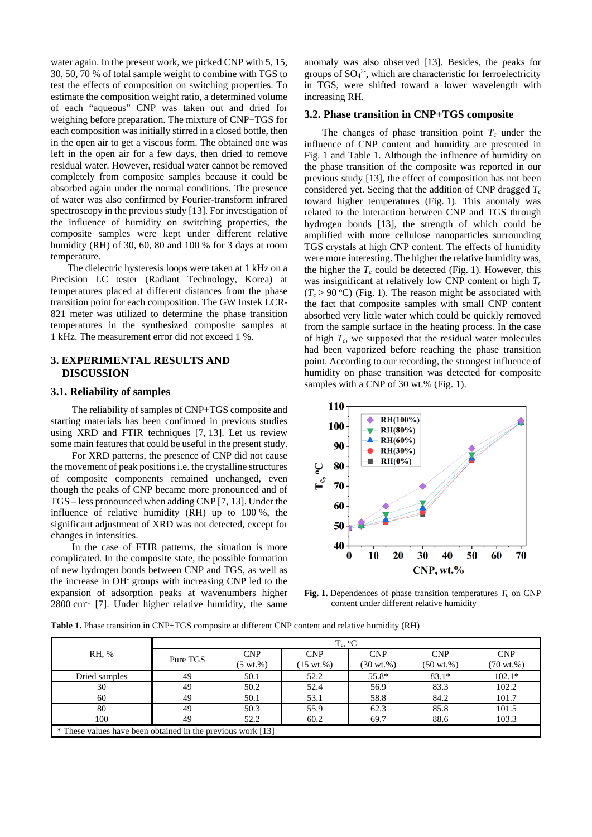water again. In the present work, we picked CNP with 5, 15, 30, 50, 70 % of total sample weight to combine with TGS to test the effects of composition on switching properties. To estimate the composition weight ratio, a determined volume of each "aqueous" CNP was taken out and dried for weighing before preparation. The mixture of CNP+TGS for each composition was initially stirred in a closed bottle, then in the open air to get a viscous form. The obtained one was left in the open air for a few days, then dried to remove residual water. However, residual water cannot be removed completely from composite samples because it could be absorbed again under the normal conditions. The presence of water was also confirmed by Fourier-transform infrared spectroscopy in the previous study [13]. For investigation of the influence of humidity on switching properties, the composite samples were kept under different relative humidity (RH) of 30, 60, 80 and 100 % for 3 days at room temperature.

The dielectric hysteresis loops were taken at 1 kHz on a Precision LC tester (Radiant Technology, Korea) at temperatures placed at different distances from the phase transition point for each composition. The GW Instek LCR-821 meter was utilized to determine the phase transition temperatures in the synthesized composite samples at 1 kHz. The measurement error did not exceed 1 %.

#### **3. EXPERIMENTAL RESULTS AND DISCUSSION**

#### **3.1. Reliability of samples**

The reliability of samples of CNP+TGS composite and starting materials has been confirmed in previous studies using XRD and FTIR techniques [7, 13]. Let us review some main features that could be useful in the present study.

For XRD patterns, the presence of CNP did not cause the movement of peak positions i.e. the crystalline structures of composite components remained unchanged, even though the peaks of CNP became more pronounced and of TGS – less pronounced when adding CNP [7, 13]. Under the influence of relative humidity (RH) up to 100 %, the significant adjustment of XRD was not detected, except for changes in intensities.

In the case of FTIR patterns, the situation is more complicated. In the composite state, the possible formation of new hydrogen bonds between CNP and TGS, as well as the increase in OH- groups with increasing CNP led to the expansion of adsorption peaks at wavenumbers higher  $2800 \text{ cm}^{-1}$  [7]. Under higher relative humidity, the same anomaly was also observed [13]. Besides, the peaks for groups of  $SO_4^2$ , which are characteristic for ferroelectricity in TGS, were shifted toward a lower wavelength with increasing RH.

#### **3.2. Phase transition in CNP+TGS composite**

The changes of phase transition point  $T_c$  under the influence of CNP content and humidity are presented in Fig. 1 and Table 1. Although the influence of humidity on the phase transition of the composite was reported in our previous study [13], the effect of composition has not been considered yet. Seeing that the addition of CNP dragged  $T_c$ toward higher temperatures (Fig. 1). This anomaly was related to the interaction between CNP and TGS through hydrogen bonds [13], the strength of which could be amplified with more cellulose nanoparticles surrounding TGS crystals at high CNP content. The effects of humidity were more interesting. The higher the relative humidity was, the higher the  $T_c$  could be detected (Fig. 1). However, this was insignificant at relatively low CNP content or high  $T_c$  $(T_c > 90 \degree C)$  (Fig. 1). The reason might be associated with the fact that composite samples with small CNP content absorbed very little water which could be quickly removed from the sample surface in the heating process. In the case of high  $T_c$ , we supposed that the residual water molecules had been vaporized before reaching the phase transition point. According to our recording, the strongest influence of humidity on phase transition was detected for composite samples with a CNP of 30 wt.% (Fig. 1).



**Fig. 1.** Dependences of phase transition temperatures  $T_c$  on CNP content under different relative humidity

**Table 1.** Phase transition in CNP+TGS composite at different CNP content and relative humidity (RH)

|                                                             | $T_c$ , ${}^{\circ}C$ |            |                      |                      |                      |                      |  |
|-------------------------------------------------------------|-----------------------|------------|----------------------|----------------------|----------------------|----------------------|--|
| RH, %                                                       | Pure TGS              | <b>CNP</b> | <b>CNP</b>           | <b>CNP</b>           | <b>CNP</b>           | <b>CNP</b>           |  |
|                                                             |                       | (5 wt. % ) | $(15 \text{ wt.})$ % | $(30 \text{ wt.}\%)$ | $(50 \text{ wt.})$ % | $(70 \text{ wt.}\%)$ |  |
| Dried samples                                               | 49                    | 50.1       | 52.2                 | 55.8*                | $83.1*$              | $102.1*$             |  |
| 30                                                          | 49                    | 50.2       | 52.4                 | 56.9                 | 83.3                 | 102.2                |  |
| 60                                                          | 49                    | 50.1       | 53.1                 | 58.8                 | 84.2                 | 101.7                |  |
| 80                                                          | 49                    | 50.3       | 55.9                 | 62.3                 | 85.8                 | 101.5                |  |
| 100                                                         | 49                    | 52.2       | 60.2                 | 69.7                 | 88.6                 | 103.3                |  |
| * These values have been obtained in the previous work [13] |                       |            |                      |                      |                      |                      |  |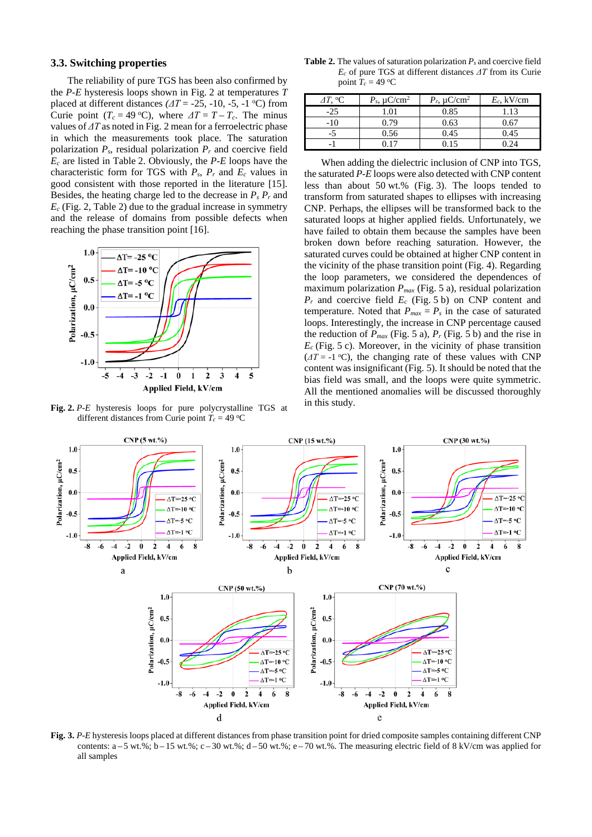#### **3.3. Switching properties**

The reliability of pure TGS has been also confirmed by the *P-E* hysteresis loops shown in Fig. 2 at temperatures *T* placed at different distances  $(\Delta T = -25, -10, -5, -1$  °C) from Curie point ( $T_c = 49 \text{ °C}$ ), where  $\Delta T = T - T_c$ . The minus values of *ΔT* as noted in Fig. 2 mean for a ferroelectric phase in which the measurements took place. The saturation polarization  $P_s$ , residual polarization  $P_r$  and coercive field *Ec* are listed in Table 2. Obviously, the *P-E* loops have the characteristic form for TGS with  $P_s$ ,  $P_r$  and  $E_c$  values in good consistent with those reported in the literature [15]. Besides, the heating charge led to the decrease in  $P_s P_r$  and *Ec* (Fig. 2, Table 2) due to the gradual increase in symmetry and the release of domains from possible defects when reaching the phase transition point [16].



**Fig. 2.** *P-E* hysteresis loops for pure polycrystalline TGS at different distances from Curie point  $T_c = 49 \text{ °C}$ 

**Table 2.** The values of saturation polarization *Ps* and coercive field *Ec* of pure TGS at different distances *ΔT* from its Curie point  $T_c = 49 \text{ °C}$ 

| $\varDelta T$ , °C | $P_s$ , $\mu$ C/cm <sup>2</sup> | $P_r$ , $\mu$ C/cm <sup>2</sup> | $E_c$ , kV/cm |
|--------------------|---------------------------------|---------------------------------|---------------|
| $-25$              | .01                             | 0.85                            | 1.13          |
| -10                | 0.79                            | 0.63                            | 0.67          |
| -5                 | 0.56                            | 0.45                            | 0.45          |
|                    |                                 |                                 | በ 24          |

When adding the dielectric inclusion of CNP into TGS, the saturated *P-E* loops were also detected with CNP content less than about 50 wt.% (Fig. 3). The loops tended to transform from saturated shapes to ellipses with increasing CNP. Perhaps, the ellipses will be transformed back to the saturated loops at higher applied fields. Unfortunately, we have failed to obtain them because the samples have been broken down before reaching saturation. However, the saturated curves could be obtained at higher CNP content in the vicinity of the phase transition point (Fig. 4). Regarding the loop parameters, we considered the dependences of maximum polarization *Pmax* (Fig. 5 a), residual polarization *Pr* and coercive field *Ec* (Fig. 5 b) on CNP content and temperature. Noted that  $P_{max} = P_s$  in the case of saturated loops. Interestingly, the increase in CNP percentage caused the reduction of  $P_{max}$  (Fig. 5 a),  $P_r$  (Fig. 5 b) and the rise in *Ec* (Fig. 5 c). Moreover, in the vicinity of phase transition  $(\Delta T = -1 \degree C)$ , the changing rate of these values with CNP content was insignificant (Fig. 5). It should be noted that the bias field was small, and the loops were quite symmetric. All the mentioned anomalies will be discussed thoroughly in this study.



**Fig. 3.** *P-E* hysteresis loops placed at different distances from phase transition point for dried composite samples containing different CNP contents:  $a - 5$  wt.%;  $b - 15$  wt.%;  $c - 30$  wt.%;  $d - 50$  wt.%;  $e - 70$  wt.%. The measuring electric field of 8 kV/cm was applied for all samples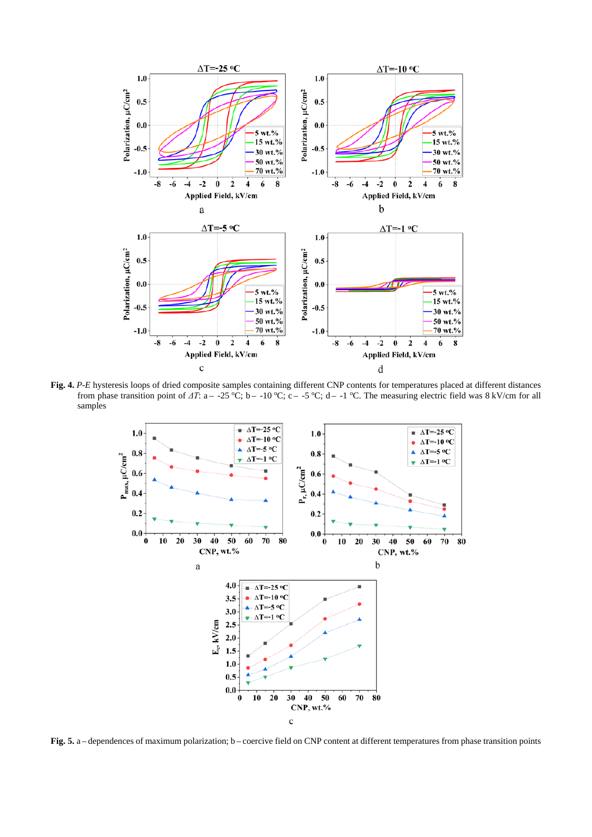

**Fig. 4.** *P-E* hysteresis loops of dried composite samples containing different CNP contents for temperatures placed at different distances from phase transition point of  $\Delta T$ : a – -25 °C; b – -10 °C; c – -5 °C; d – -1 °C. The measuring electric field was 8 kV/cm for all samples



**Fig.** 5. a – dependences of maximum polarization; b – coercive field on CNP content at different temperatures from phase transition points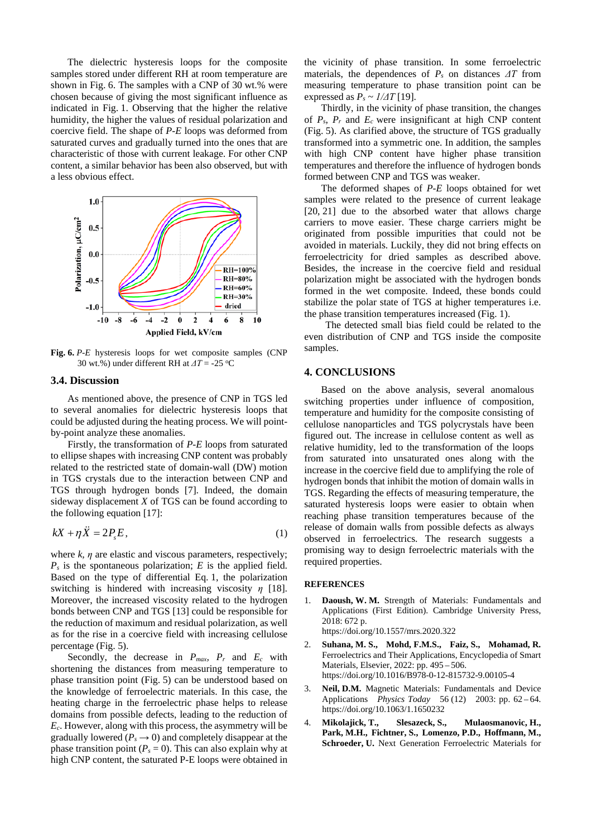The dielectric hysteresis loops for the composite samples stored under different RH at room temperature are shown in Fig. 6. The samples with a CNP of 30 wt.% were chosen because of giving the most significant influence as indicated in Fig. 1. Observing that the higher the relative humidity, the higher the values of residual polarization and coercive field. The shape of *P-E* loops was deformed from saturated curves and gradually turned into the ones that are characteristic of those with current leakage. For other CNP content, a similar behavior has been also observed, but with a less obvious effect.



**Fig. 6.** *P-E* hysteresis loops for wet composite samples (CNP 30 wt.%) under different RH at *ΔT* = -25 oC

#### **3.4. Discussion**

As mentioned above, the presence of CNP in TGS led to several anomalies for dielectric hysteresis loops that could be adjusted during the heating process. We will pointby-point analyze these anomalies.

Firstly, the transformation of *P-E* loops from saturated to ellipse shapes with increasing CNP content was probably related to the restricted state of domain-wall (DW) motion in TGS crystals due to the interaction between CNP and TGS through hydrogen bonds [7]. Indeed, the domain sideway displacement *X* of TGS can be found according to the following equation [17]:

$$
kX + \eta \ddot{X} = 2P_s E, \qquad (1)
$$

where  $k$ ,  $\eta$  are elastic and viscous parameters, respectively;  $P<sub>s</sub>$  is the spontaneous polarization; *E* is the applied field. Based on the type of differential Eq. 1, the polarization switching is hindered with increasing viscosity *η* [18]. Moreover, the increased viscosity related to the hydrogen bonds between CNP and TGS [13] could be responsible for the reduction of maximum and residual polarization, as well as for the rise in a coercive field with increasing cellulose percentage (Fig. 5).

Secondly, the decrease in  $P_{max}$ ,  $P_r$  and  $E_c$  with shortening the distances from measuring temperature to phase transition point (Fig. 5) can be understood based on the knowledge of ferroelectric materials. In this case, the heating charge in the ferroelectric phase helps to release domains from possible defects, leading to the reduction of *Ec*. However, along with this process, the asymmetry will be gradually lowered ( $P_s \rightarrow 0$ ) and completely disappear at the phase transition point  $(P_s = 0)$ . This can also explain why at high CNP content, the saturated P-E loops were obtained in the vicinity of phase transition. In some ferroelectric materials, the dependences of  $P_s$  on distances  $\Delta T$  from measuring temperature to phase transition point can be expressed as  $P_s \sim 1/\Delta T$  [19].

Thirdly, in the vicinity of phase transition, the changes of *Ps*, *Pr* and *Ec* were insignificant at high CNP content (Fig. 5). As clarified above, the structure of TGS gradually transformed into a symmetric one. In addition, the samples with high CNP content have higher phase transition temperatures and therefore the influence of hydrogen bonds formed between CNP and TGS was weaker.

The deformed shapes of *P-E* loops obtained for wet samples were related to the presence of current leakage [20, 21] due to the absorbed water that allows charge carriers to move easier. These charge carriers might be originated from possible impurities that could not be avoided in materials. Luckily, they did not bring effects on ferroelectricity for dried samples as described above. Besides, the increase in the coercive field and residual polarization might be associated with the hydrogen bonds formed in the wet composite. Indeed, these bonds could stabilize the polar state of TGS at higher temperatures i.e. the phase transition temperatures increased (Fig. 1).

The detected small bias field could be related to the even distribution of CNP and TGS inside the composite samples.

## **4. CONCLUSIONS**

Based on the above analysis, several anomalous switching properties under influence of composition, temperature and humidity for the composite consisting of cellulose nanoparticles and TGS polycrystals have been figured out. The increase in cellulose content as well as relative humidity, led to the transformation of the loops from saturated into unsaturated ones along with the increase in the coercive field due to amplifying the role of hydrogen bonds that inhibit the motion of domain walls in TGS. Regarding the effects of measuring temperature, the saturated hysteresis loops were easier to obtain when reaching phase transition temperatures because of the release of domain walls from possible defects as always observed in ferroelectrics. The research suggests a promising way to design ferroelectric materials with the required properties.

#### **REFERENCES**

- 1. **Daoush, W. M.** Strength of Materials: Fundamentals and Applications (First Edition). Cambridge University Press, 2018: 672 p. <https://doi.org/10.1557/mrs.2020.322>
- 2. **Suhana, M. S., Mohd, F.M.S., Faiz, S., Mohamad, R.** Ferroelectrics and Their Applications, Encyclopedia of Smart Materials, Elsevier, 2022: pp. 495 – 506. <https://doi.org/10.1016/B978-0-12-815732-9.00105-4>
- 3. **Neil, D.M.** Magnetic Materials: Fundamentals and Device Applications *Physics Today* 56 (12) 2003: pp. 62 – 64. <https://doi.org/10.1063/1.1650232>
- 4. **Mikolajick, T., Slesazeck, S., Mulaosmanovic, H., Park, M.H., Fichtner, S., Lomenzo, P.D., Hoffmann, M., Schroeder, U.** Next Generation Ferroelectric Materials for